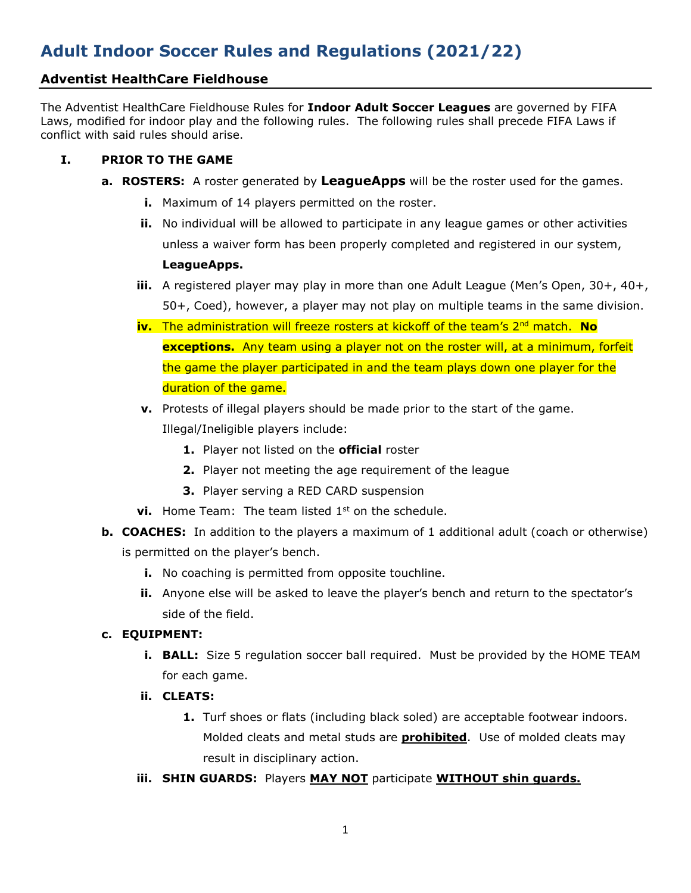# **Adult Indoor Soccer Rules and Regulations (2021/22)**

# **Adventist HealthCare Fieldhouse**

The Adventist HealthCare Fieldhouse Rules for **Indoor Adult Soccer Leagues** are governed by FIFA Laws, modified for indoor play and the following rules. The following rules shall precede FIFA Laws if conflict with said rules should arise.

## **I. PRIOR TO THE GAME**

- **a. ROSTERS:** A roster generated by **LeagueApps** will be the roster used for the games.
	- **i.** Maximum of 14 players permitted on the roster.
	- **ii.** No individual will be allowed to participate in any league games or other activities unless a waiver form has been properly completed and registered in our system, **LeagueApps.**
	- **iii.** A registered player may play in more than one Adult League (Men's Open, 30+, 40+, 50+, Coed), however, a player may not play on multiple teams in the same division.
	- **iv.** The administration will freeze rosters at kickoff of the team's 2<sup>nd</sup> match. **No exceptions.** Any team using a player not on the roster will, at a minimum, forfeit the game the player participated in and the team plays down one player for the duration of the game.
	- **v.** Protests of illegal players should be made prior to the start of the game. Illegal/Ineligible players include:
		- **1.** Player not listed on the **official** roster
		- **2.** Player not meeting the age requirement of the league
		- **3.** Player serving a RED CARD suspension
	- **vi.** Home Team: The team listed 1<sup>st</sup> on the schedule.
- **b. COACHES:** In addition to the players a maximum of 1 additional adult (coach or otherwise) is permitted on the player's bench.
	- **i.** No coaching is permitted from opposite touchline.
	- **ii.** Anyone else will be asked to leave the player's bench and return to the spectator's side of the field.

## **c. EQUIPMENT:**

- **i. BALL:** Size 5 regulation soccer ball required. Must be provided by the HOME TEAM for each game.
- **ii. CLEATS:** 
	- **1.** Turf shoes or flats (including black soled) are acceptable footwear indoors. Molded cleats and metal studs are **prohibited**. Use of molded cleats may result in disciplinary action.
- **iii. SHIN GUARDS:** Players **MAY NOT** participate **WITHOUT shin guards.**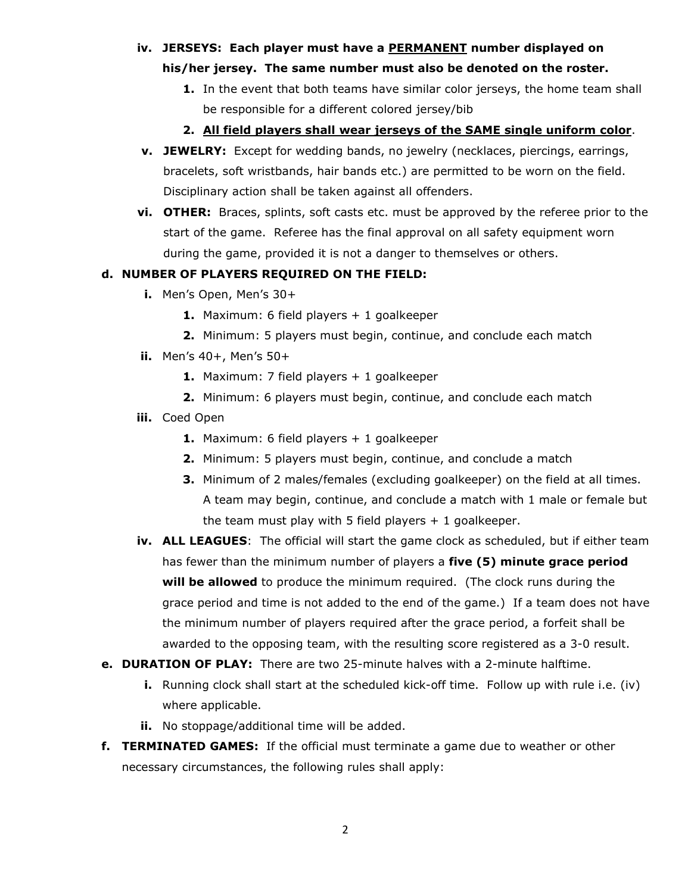#### **iv. JERSEYS: Each player must have a PERMANENT number displayed on**

#### **his/her jersey. The same number must also be denoted on the roster.**

- **1.** In the event that both teams have similar color jerseys, the home team shall be responsible for a different colored jersey/bib
- **2. All field players shall wear jerseys of the SAME single uniform color**.
- **v. JEWELRY:** Except for wedding bands, no jewelry (necklaces, piercings, earrings, bracelets, soft wristbands, hair bands etc.) are permitted to be worn on the field. Disciplinary action shall be taken against all offenders.
- **vi. OTHER:** Braces, splints, soft casts etc. must be approved by the referee prior to the start of the game. Referee has the final approval on all safety equipment worn during the game, provided it is not a danger to themselves or others.

## **d. NUMBER OF PLAYERS REQUIRED ON THE FIELD:**

- **i.** Men's Open, Men's 30+
	- **1.** Maximum: 6 field players + 1 goalkeeper
	- **2.** Minimum: 5 players must begin, continue, and conclude each match
- **ii.** Men's 40+, Men's 50+
	- **1.** Maximum: 7 field players + 1 goalkeeper
	- **2.** Minimum: 6 players must begin, continue, and conclude each match

# **iii.** Coed Open

- **1.** Maximum: 6 field players + 1 goalkeeper
- **2.** Minimum: 5 players must begin, continue, and conclude a match
- **3.** Minimum of 2 males/females (excluding goalkeeper) on the field at all times. A team may begin, continue, and conclude a match with 1 male or female but the team must play with 5 field players  $+1$  goalkeeper.
- **iv. ALL LEAGUES**: The official will start the game clock as scheduled, but if either team has fewer than the minimum number of players a **five (5) minute grace period will be allowed** to produce the minimum required. (The clock runs during the grace period and time is not added to the end of the game.) If a team does not have the minimum number of players required after the grace period, a forfeit shall be awarded to the opposing team, with the resulting score registered as a 3-0 result.
- **e. DURATION OF PLAY:** There are two 25-minute halves with a 2-minute halftime.
	- **i.** Running clock shall start at the scheduled kick-off time. Follow up with rule i.e. (iv) where applicable.
	- **ii.** No stoppage/additional time will be added.
- **f. TERMINATED GAMES:** If the official must terminate a game due to weather or other necessary circumstances, the following rules shall apply: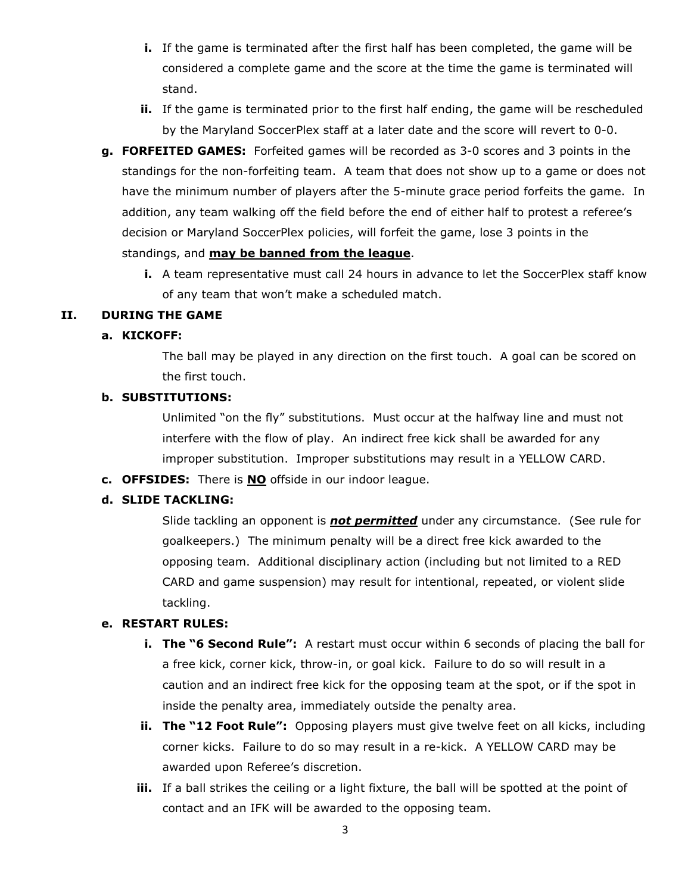- **i.** If the game is terminated after the first half has been completed, the game will be considered a complete game and the score at the time the game is terminated will stand.
- **ii.** If the game is terminated prior to the first half ending, the game will be rescheduled by the Maryland SoccerPlex staff at a later date and the score will revert to 0-0.
- **g. FORFEITED GAMES:** Forfeited games will be recorded as 3-0 scores and 3 points in the standings for the non-forfeiting team. A team that does not show up to a game or does not have the minimum number of players after the 5-minute grace period forfeits the game. In addition, any team walking off the field before the end of either half to protest a referee's decision or Maryland SoccerPlex policies, will forfeit the game, lose 3 points in the standings, and **may be banned from the league**.
	- **i.** A team representative must call 24 hours in advance to let the SoccerPlex staff know of any team that won't make a scheduled match.

#### **II. DURING THE GAME**

#### **a. KICKOFF:**

The ball may be played in any direction on the first touch. A goal can be scored on the first touch.

#### **b. SUBSTITUTIONS:**

Unlimited "on the fly" substitutions. Must occur at the halfway line and must not interfere with the flow of play. An indirect free kick shall be awarded for any improper substitution. Improper substitutions may result in a YELLOW CARD.

**c. OFFSIDES:** There is **NO** offside in our indoor league.

#### **d. SLIDE TACKLING:**

Slide tackling an opponent is *not permitted* under any circumstance. (See rule for goalkeepers.) The minimum penalty will be a direct free kick awarded to the opposing team. Additional disciplinary action (including but not limited to a RED CARD and game suspension) may result for intentional, repeated, or violent slide tackling.

#### **e. RESTART RULES:**

- **i.** The "6 Second Rule": A restart must occur within 6 seconds of placing the ball for a free kick, corner kick, throw-in, or goal kick. Failure to do so will result in a caution and an indirect free kick for the opposing team at the spot, or if the spot in inside the penalty area, immediately outside the penalty area.
- **ii. The "12 Foot Rule":** Opposing players must give twelve feet on all kicks, including corner kicks. Failure to do so may result in a re-kick. A YELLOW CARD may be awarded upon Referee's discretion.
- **iii.** If a ball strikes the ceiling or a light fixture, the ball will be spotted at the point of contact and an IFK will be awarded to the opposing team.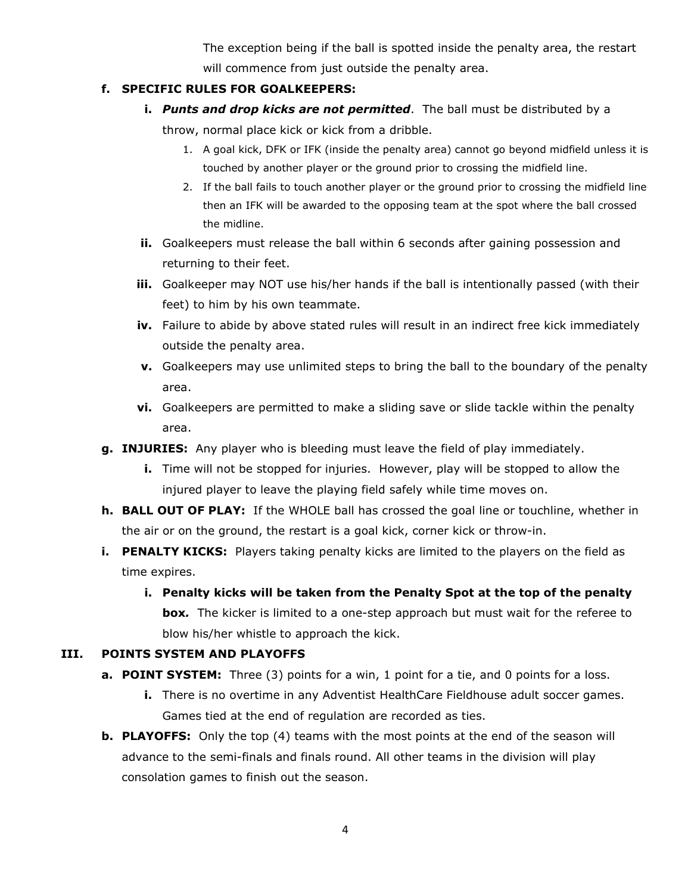The exception being if the ball is spotted inside the penalty area, the restart will commence from just outside the penalty area.

# **f. SPECIFIC RULES FOR GOALKEEPERS:**

- **i.** *Punts and drop kicks are not permitted*. The ball must be distributed by a throw, normal place kick or kick from a dribble.
	- 1. A goal kick, DFK or IFK (inside the penalty area) cannot go beyond midfield unless it is touched by another player or the ground prior to crossing the midfield line.
	- 2. If the ball fails to touch another player or the ground prior to crossing the midfield line then an IFK will be awarded to the opposing team at the spot where the ball crossed the midline.
- **ii.** Goalkeepers must release the ball within 6 seconds after gaining possession and returning to their feet.
- **iii.** Goalkeeper may NOT use his/her hands if the ball is intentionally passed (with their feet) to him by his own teammate.
- **iv.** Failure to abide by above stated rules will result in an indirect free kick immediately outside the penalty area.
- **v.** Goalkeepers may use unlimited steps to bring the ball to the boundary of the penalty area.
- **vi.** Goalkeepers are permitted to make a sliding save or slide tackle within the penalty area.
- **g. INJURIES:** Any player who is bleeding must leave the field of play immediately.
	- **i.** Time will not be stopped for injuries. However, play will be stopped to allow the injured player to leave the playing field safely while time moves on.
- **h. BALL OUT OF PLAY:** If the WHOLE ball has crossed the goal line or touchline, whether in the air or on the ground, the restart is a goal kick, corner kick or throw-in.
- **i. PENALTY KICKS:** Players taking penalty kicks are limited to the players on the field as time expires.
	- **i. Penalty kicks will be taken from the Penalty Spot at the top of the penalty box***.* The kicker is limited to a one-step approach but must wait for the referee to blow his/her whistle to approach the kick.

# **III. POINTS SYSTEM AND PLAYOFFS**

- **a. POINT SYSTEM:** Three (3) points for a win, 1 point for a tie, and 0 points for a loss.
	- **i.** There is no overtime in any Adventist HealthCare Fieldhouse adult soccer games. Games tied at the end of regulation are recorded as ties.
- **b. PLAYOFFS:** Only the top (4) teams with the most points at the end of the season will advance to the semi-finals and finals round. All other teams in the division will play consolation games to finish out the season.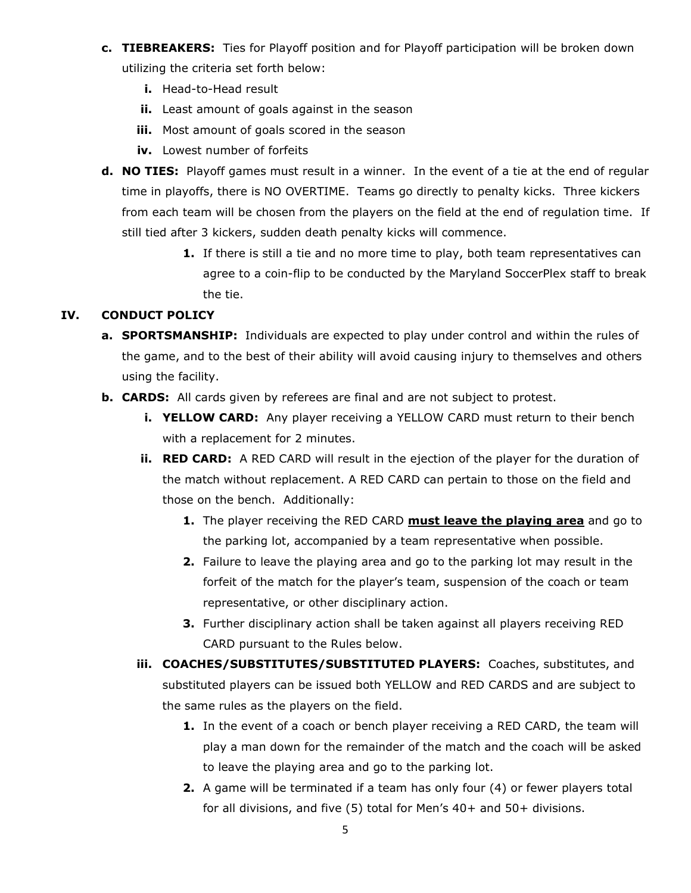- **c. TIEBREAKERS:** Ties for Playoff position and for Playoff participation will be broken down utilizing the criteria set forth below:
	- **i.** Head-to-Head result
	- **ii.** Least amount of goals against in the season
	- **iii.** Most amount of goals scored in the season
	- **iv.** Lowest number of forfeits
- **d. NO TIES:** Playoff games must result in a winner. In the event of a tie at the end of regular time in playoffs, there is NO OVERTIME. Teams go directly to penalty kicks. Three kickers from each team will be chosen from the players on the field at the end of regulation time. If still tied after 3 kickers, sudden death penalty kicks will commence.
	- **1.** If there is still a tie and no more time to play, both team representatives can agree to a coin-flip to be conducted by the Maryland SoccerPlex staff to break the tie.

## **IV. CONDUCT POLICY**

- **a. SPORTSMANSHIP:** Individuals are expected to play under control and within the rules of the game, and to the best of their ability will avoid causing injury to themselves and others using the facility.
- **b. CARDS:** All cards given by referees are final and are not subject to protest.
	- **i. YELLOW CARD:** Any player receiving a YELLOW CARD must return to their bench with a replacement for 2 minutes.
	- **ii.** RED CARD: A RED CARD will result in the ejection of the player for the duration of the match without replacement. A RED CARD can pertain to those on the field and those on the bench. Additionally:
		- **1.** The player receiving the RED CARD **must leave the playing area** and go to the parking lot, accompanied by a team representative when possible.
		- **2.** Failure to leave the playing area and go to the parking lot may result in the forfeit of the match for the player's team, suspension of the coach or team representative, or other disciplinary action.
		- **3.** Further disciplinary action shall be taken against all players receiving RED CARD pursuant to the Rules below.
	- **iii. COACHES/SUBSTITUTES/SUBSTITUTED PLAYERS:** Coaches, substitutes, and substituted players can be issued both YELLOW and RED CARDS and are subject to the same rules as the players on the field.
		- **1.** In the event of a coach or bench player receiving a RED CARD, the team will play a man down for the remainder of the match and the coach will be asked to leave the playing area and go to the parking lot.
		- **2.** A game will be terminated if a team has only four (4) or fewer players total for all divisions, and five (5) total for Men's 40+ and 50+ divisions.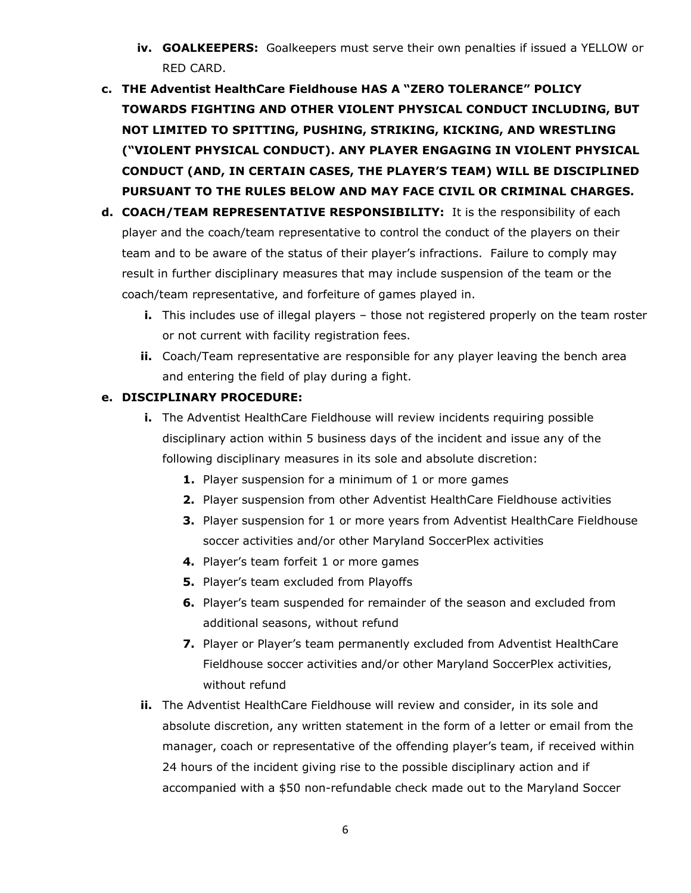- **iv. GOALKEEPERS:** Goalkeepers must serve their own penalties if issued a YELLOW or RED CARD.
- **c. THE Adventist HealthCare Fieldhouse HAS A "ZERO TOLERANCE" POLICY TOWARDS FIGHTING AND OTHER VIOLENT PHYSICAL CONDUCT INCLUDING, BUT NOT LIMITED TO SPITTING, PUSHING, STRIKING, KICKING, AND WRESTLING ("VIOLENT PHYSICAL CONDUCT). ANY PLAYER ENGAGING IN VIOLENT PHYSICAL CONDUCT (AND, IN CERTAIN CASES, THE PLAYER'S TEAM) WILL BE DISCIPLINED PURSUANT TO THE RULES BELOW AND MAY FACE CIVIL OR CRIMINAL CHARGES.**
- **d. COACH/TEAM REPRESENTATIVE RESPONSIBILITY:** It is the responsibility of each player and the coach/team representative to control the conduct of the players on their team and to be aware of the status of their player's infractions. Failure to comply may result in further disciplinary measures that may include suspension of the team or the coach/team representative, and forfeiture of games played in.
	- **i.** This includes use of illegal players those not registered properly on the team roster or not current with facility registration fees.
	- **ii.** Coach/Team representative are responsible for any player leaving the bench area and entering the field of play during a fight.

# **e. DISCIPLINARY PROCEDURE:**

- **i.** The Adventist HealthCare Fieldhouse will review incidents requiring possible disciplinary action within 5 business days of the incident and issue any of the following disciplinary measures in its sole and absolute discretion:
	- **1.** Player suspension for a minimum of 1 or more games
	- **2.** Player suspension from other Adventist HealthCare Fieldhouse activities
	- **3.** Player suspension for 1 or more years from Adventist HealthCare Fieldhouse soccer activities and/or other Maryland SoccerPlex activities
	- **4.** Player's team forfeit 1 or more games
	- **5.** Player's team excluded from Playoffs
	- **6.** Player's team suspended for remainder of the season and excluded from additional seasons, without refund
	- **7.** Player or Player's team permanently excluded from Adventist HealthCare Fieldhouse soccer activities and/or other Maryland SoccerPlex activities, without refund
- **ii.** The Adventist HealthCare Fieldhouse will review and consider, in its sole and absolute discretion, any written statement in the form of a letter or email from the manager, coach or representative of the offending player's team, if received within 24 hours of the incident giving rise to the possible disciplinary action and if accompanied with a \$50 non-refundable check made out to the Maryland Soccer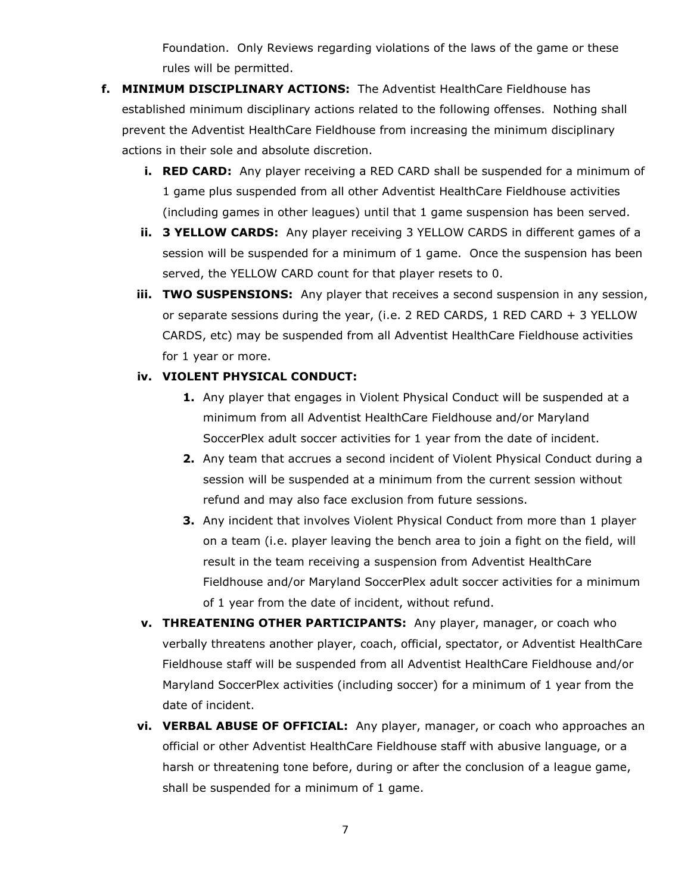Foundation. Only Reviews regarding violations of the laws of the game or these rules will be permitted.

- **f. MINIMUM DISCIPLINARY ACTIONS:** The Adventist HealthCare Fieldhouse has established minimum disciplinary actions related to the following offenses. Nothing shall prevent the Adventist HealthCare Fieldhouse from increasing the minimum disciplinary actions in their sole and absolute discretion.
	- **i. RED CARD:** Any player receiving a RED CARD shall be suspended for a minimum of 1 game plus suspended from all other Adventist HealthCare Fieldhouse activities (including games in other leagues) until that 1 game suspension has been served.
	- **ii. 3 YELLOW CARDS:** Any player receiving 3 YELLOW CARDS in different games of a session will be suspended for a minimum of 1 game. Once the suspension has been served, the YELLOW CARD count for that player resets to 0.
	- **iii. TWO SUSPENSIONS:** Any player that receives a second suspension in any session, or separate sessions during the year, (i.e. 2 RED CARDS, 1 RED CARD + 3 YELLOW CARDS, etc) may be suspended from all Adventist HealthCare Fieldhouse activities for 1 year or more.

#### **iv. VIOLENT PHYSICAL CONDUCT:**

- **1.** Any player that engages in Violent Physical Conduct will be suspended at a minimum from all Adventist HealthCare Fieldhouse and/or Maryland SoccerPlex adult soccer activities for 1 year from the date of incident.
- **2.** Any team that accrues a second incident of Violent Physical Conduct during a session will be suspended at a minimum from the current session without refund and may also face exclusion from future sessions.
- **3.** Any incident that involves Violent Physical Conduct from more than 1 player on a team (i.e. player leaving the bench area to join a fight on the field, will result in the team receiving a suspension from Adventist HealthCare Fieldhouse and/or Maryland SoccerPlex adult soccer activities for a minimum of 1 year from the date of incident, without refund.
- **v. THREATENING OTHER PARTICIPANTS:** Any player, manager, or coach who verbally threatens another player, coach, official, spectator, or Adventist HealthCare Fieldhouse staff will be suspended from all Adventist HealthCare Fieldhouse and/or Maryland SoccerPlex activities (including soccer) for a minimum of 1 year from the date of incident.
- **vi. VERBAL ABUSE OF OFFICIAL:** Any player, manager, or coach who approaches an official or other Adventist HealthCare Fieldhouse staff with abusive language, or a harsh or threatening tone before, during or after the conclusion of a league game, shall be suspended for a minimum of 1 game.